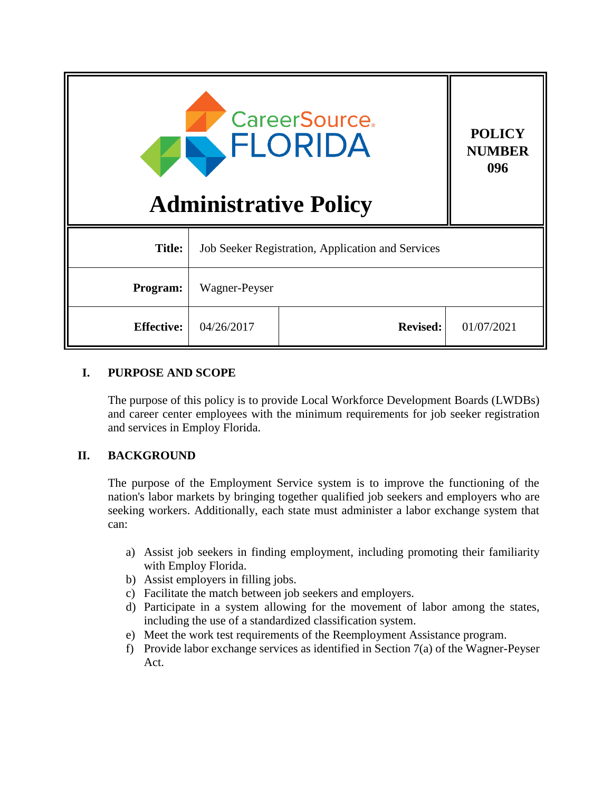| <b>CareerSource.</b><br>FLORIDA<br><b>Administrative Policy</b> |                                                   |                 | <b>POLICY</b><br><b>NUMBER</b><br>096 |
|-----------------------------------------------------------------|---------------------------------------------------|-----------------|---------------------------------------|
| <b>Title:</b>                                                   | Job Seeker Registration, Application and Services |                 |                                       |
| Program:                                                        | Wagner-Peyser                                     |                 |                                       |
| <b>Effective:</b>                                               | 04/26/2017                                        | <b>Revised:</b> | 01/07/2021                            |

### **I. PURPOSE AND SCOPE**

The purpose of this policy is to provide Local Workforce Development Boards (LWDBs) and career center employees with the minimum requirements for job seeker registration and services in Employ Florida.

## **II. BACKGROUND**

The purpose of the Employment Service system is to improve the functioning of the nation's labor markets by bringing together qualified job seekers and employers who are seeking workers. Additionally, each state must administer a labor exchange system that can:

- a) Assist job seekers in finding employment, including promoting their familiarity with Employ Florida.
- b) Assist employers in filling jobs.
- c) Facilitate the match between job seekers and employers.
- d) Participate in a system allowing for the movement of labor among the states, including the use of a standardized classification system.
- e) Meet the work test requirements of the Reemployment Assistance program.
- f) Provide labor exchange services as identified in Section 7(a) of the Wagner-Peyser Act.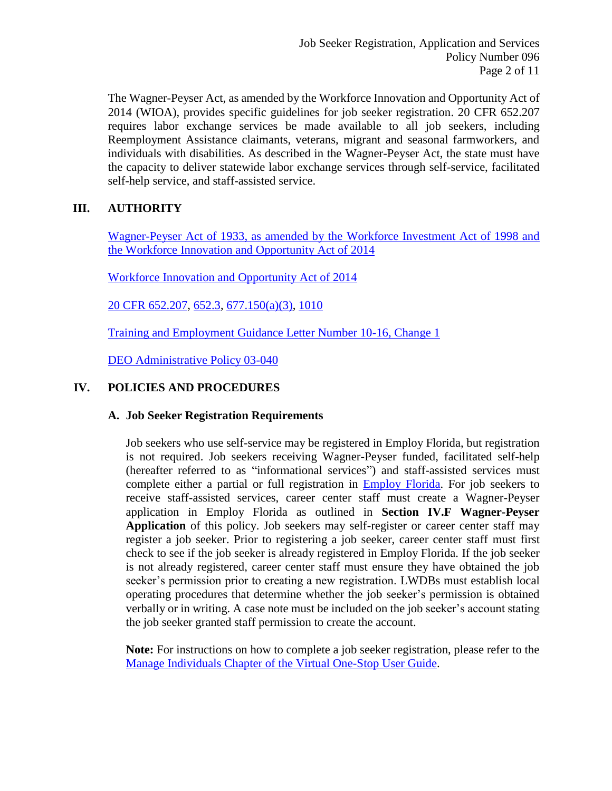The Wagner-Peyser Act, as amended by the Workforce Innovation and Opportunity Act of 2014 (WIOA), provides specific guidelines for job seeker registration. 20 CFR 652.207 requires labor exchange services be made available to all job seekers, including Reemployment Assistance claimants, veterans, migrant and seasonal farmworkers, and individuals with disabilities. As described in the Wagner-Peyser Act, the state must have the capacity to deliver statewide labor exchange services through self-service, facilitated self-help service, and staff-assisted service.

# **III. AUTHORITY**

[Wagner-Peyser Act of 1933, as amended by the Workforce Investment Act of 1998 and](https://www.doleta.gov/programs/wagner-peyser-statute.cfm)  [the Workforce Innovation and Opportunity](https://www.doleta.gov/programs/wagner-peyser-statute.cfm) Act of 2014

[Workforce Innovation and Opportunity Act of 2014](https://www.govinfo.gov/content/pkg/PLAW-113publ128/pdf/PLAW-113publ128.pdf)

[20 CFR 652.207,](http://www.ecfr.gov/cgi-bin/text-idx?SID=9afcecfccbb77b9e9456248d5d52017a&mc=true&node=20160819y1.76) [652.3,](http://www.ecfr.gov/cgi-bin/text-idx?SID=9afcecfccbb77b9e9456248d5d52017a&mc=true&node=20160819y1.76) [677.150\(a\)\(3\),](https://www.govinfo.gov/content/pkg/CFR-2017-title20-vol4/xml/CFR-2017-title20-vol4-sec677-150.xml) [1010](http://www.ecfr.gov/cgi-bin/text-idx?SID=cfb873c26622e06a73c1dc80d2035522&mc=true&tpl=/ecfrbrowse/Title20/20chapterIX.tpl)

[Training and Employment Guidance Letter Number 10-16, Change 1](https://wdr.doleta.gov/directives/corr_doc.cfm?DOCN=3255)

[DEO Administrative Policy 03-040](http://www.floridajobs.org/docs/default-source/office-of-workforce-services/msfw_adminpolicy03-040_011317.pdf?sfvrsn=2)

## **IV. POLICIES AND PROCEDURES**

#### **A. Job Seeker Registration Requirements**

Job seekers who use self-service may be registered in Employ Florida, but registration is not required. Job seekers receiving Wagner-Peyser funded, facilitated self-help (hereafter referred to as "informational services") and staff-assisted services must complete either a partial or full registration in [Employ Florida.](https://www.employflorida.com/vosnet/Default.aspx) For job seekers to receive staff-assisted services, career center staff must create a Wagner-Peyser application in Employ Florida as outlined in **Section IV.F Wagner-Peyser Application** of this policy. Job seekers may self-register or career center staff may register a job seeker. Prior to registering a job seeker, career center staff must first check to see if the job seeker is already registered in Employ Florida. If the job seeker is not already registered, career center staff must ensure they have obtained the job seeker's permission prior to creating a new registration. LWDBs must establish local operating procedures that determine whether the job seeker's permission is obtained verbally or in writing. A case note must be included on the job seeker's account stating the job seeker granted staff permission to create the account.

**Note:** For instructions on how to complete a job seeker registration, please refer to the [Manage Individuals Chapter of the Virtual One-Stop User Guide.](https://www.employflorida.com/admin/gsipub/htmlarea/uploads/Staff%20Guide_03_Manage_Individuals.pdf)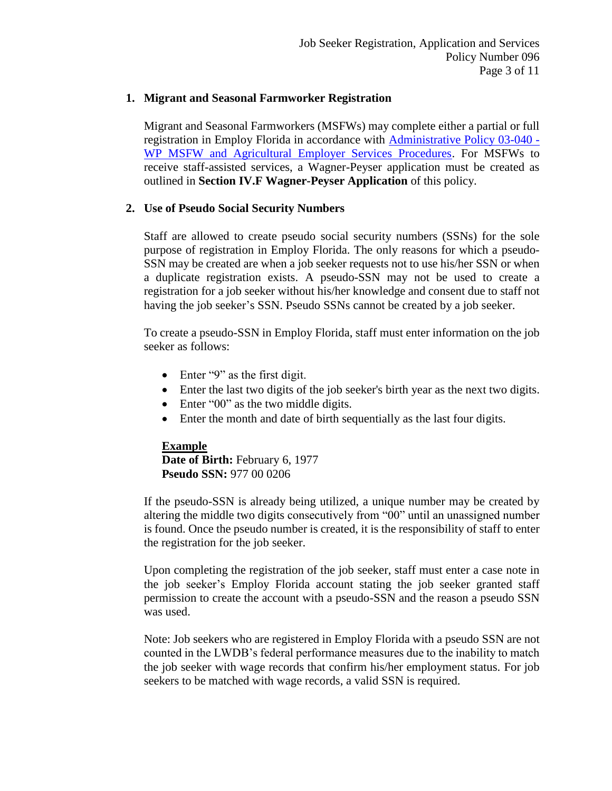### **1. Migrant and Seasonal Farmworker Registration**

Migrant and Seasonal Farmworkers (MSFWs) may complete either a partial or full registration in Employ Florida in accordance with [Administrative Policy 03-040 -](http://sitefinity.floridajobs.org/docs/default-source/office-of-workforce-services/msfw_adminpolicy03-040_011317.pdf?sfvrsn=2) [WP MSFW and Agricultural Employer Services Procedures.](http://sitefinity.floridajobs.org/docs/default-source/office-of-workforce-services/msfw_adminpolicy03-040_011317.pdf?sfvrsn=2) For MSFWs to receive staff-assisted services, a Wagner-Peyser application must be created as outlined in **Section IV.F Wagner-Peyser Application** of this policy.

### **2. Use of Pseudo Social Security Numbers**

Staff are allowed to create pseudo social security numbers (SSNs) for the sole purpose of registration in Employ Florida. The only reasons for which a pseudo-SSN may be created are when a job seeker requests not to use his/her SSN or when a duplicate registration exists. A pseudo-SSN may not be used to create a registration for a job seeker without his/her knowledge and consent due to staff not having the job seeker's SSN. Pseudo SSNs cannot be created by a job seeker.

To create a pseudo-SSN in Employ Florida, staff must enter information on the job seeker as follows:

- Enter "9" as the first digit.
- Enter the last two digits of the job seeker's birth year as the next two digits.
- Enter "00" as the two middle digits.
- Enter the month and date of birth sequentially as the last four digits.

## **Example Date of Birth:** February 6, 1977 **Pseudo SSN:** 977 00 0206

If the pseudo-SSN is already being utilized, a unique number may be created by altering the middle two digits consecutively from "00" until an unassigned number is found. Once the pseudo number is created, it is the responsibility of staff to enter the registration for the job seeker.

Upon completing the registration of the job seeker, staff must enter a case note in the job seeker's Employ Florida account stating the job seeker granted staff permission to create the account with a pseudo-SSN and the reason a pseudo SSN was used.

Note: Job seekers who are registered in Employ Florida with a pseudo SSN are not counted in the LWDB's federal performance measures due to the inability to match the job seeker with wage records that confirm his/her employment status. For job seekers to be matched with wage records, a valid SSN is required.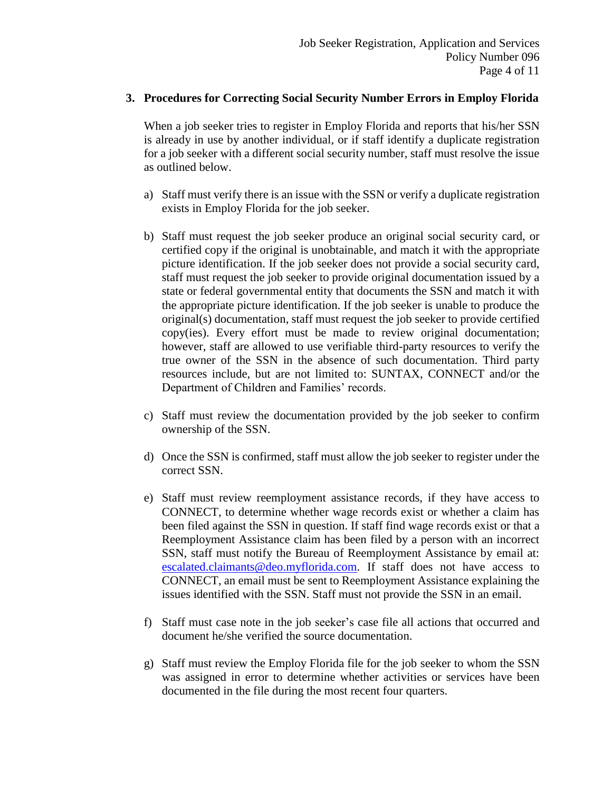#### **3. Procedures for Correcting Social Security Number Errors in Employ Florida**

When a job seeker tries to register in Employ Florida and reports that his/her SSN is already in use by another individual, or if staff identify a duplicate registration for a job seeker with a different social security number, staff must resolve the issue as outlined below.

- a) Staff must verify there is an issue with the SSN or verify a duplicate registration exists in Employ Florida for the job seeker.
- b) Staff must request the job seeker produce an original social security card, or certified copy if the original is unobtainable, and match it with the appropriate picture identification. If the job seeker does not provide a social security card, staff must request the job seeker to provide original documentation issued by a state or federal governmental entity that documents the SSN and match it with the appropriate picture identification. If the job seeker is unable to produce the original(s) documentation, staff must request the job seeker to provide certified copy(ies). Every effort must be made to review original documentation; however, staff are allowed to use verifiable third-party resources to verify the true owner of the SSN in the absence of such documentation. Third party resources include, but are not limited to: SUNTAX, CONNECT and/or the Department of Children and Families' records.
- c) Staff must review the documentation provided by the job seeker to confirm ownership of the SSN.
- d) Once the SSN is confirmed, staff must allow the job seeker to register under the correct SSN.
- e) Staff must review reemployment assistance records, if they have access to CONNECT, to determine whether wage records exist or whether a claim has been filed against the SSN in question. If staff find wage records exist or that a Reemployment Assistance claim has been filed by a person with an incorrect SSN, staff must notify the Bureau of Reemployment Assistance by email at: [escalated.claimants@deo.myflorida.com.](mailto:escalated.claimants@deo.myflorida.com) If staff does not have access to CONNECT, an email must be sent to Reemployment Assistance explaining the issues identified with the SSN. Staff must not provide the SSN in an email.
- f) Staff must case note in the job seeker's case file all actions that occurred and document he/she verified the source documentation.
- g) Staff must review the Employ Florida file for the job seeker to whom the SSN was assigned in error to determine whether activities or services have been documented in the file during the most recent four quarters.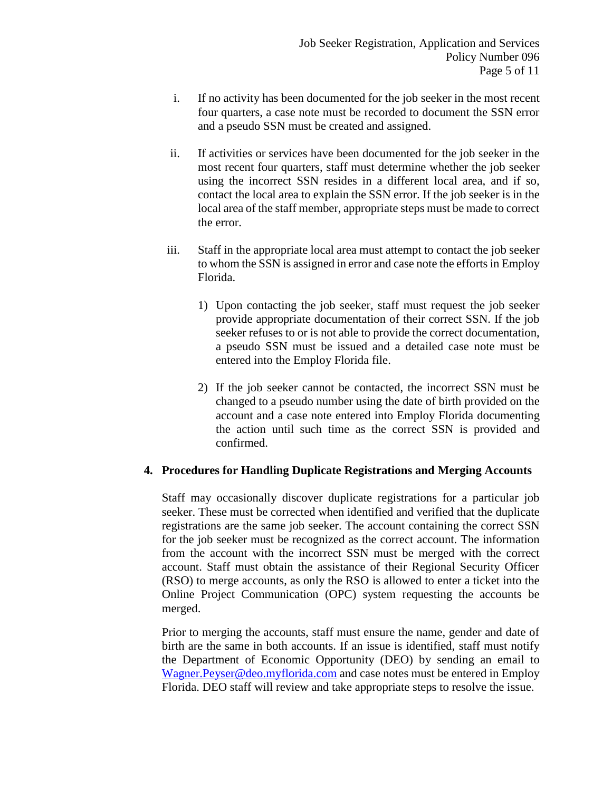- i. If no activity has been documented for the job seeker in the most recent four quarters, a case note must be recorded to document the SSN error and a pseudo SSN must be created and assigned.
- ii. If activities or services have been documented for the job seeker in the most recent four quarters, staff must determine whether the job seeker using the incorrect SSN resides in a different local area, and if so, contact the local area to explain the SSN error. If the job seeker is in the local area of the staff member, appropriate steps must be made to correct the error.
- iii. Staff in the appropriate local area must attempt to contact the job seeker to whom the SSN is assigned in error and case note the efforts in Employ Florida.
	- 1) Upon contacting the job seeker, staff must request the job seeker provide appropriate documentation of their correct SSN. If the job seeker refuses to or is not able to provide the correct documentation, a pseudo SSN must be issued and a detailed case note must be entered into the Employ Florida file.
	- 2) If the job seeker cannot be contacted, the incorrect SSN must be changed to a pseudo number using the date of birth provided on the account and a case note entered into Employ Florida documenting the action until such time as the correct SSN is provided and confirmed.

#### **4. Procedures for Handling Duplicate Registrations and Merging Accounts**

Staff may occasionally discover duplicate registrations for a particular job seeker. These must be corrected when identified and verified that the duplicate registrations are the same job seeker. The account containing the correct SSN for the job seeker must be recognized as the correct account. The information from the account with the incorrect SSN must be merged with the correct account. Staff must obtain the assistance of their Regional Security Officer (RSO) to merge accounts, as only the RSO is allowed to enter a ticket into the Online Project Communication (OPC) system requesting the accounts be merged.

Prior to merging the accounts, staff must ensure the name, gender and date of birth are the same in both accounts. If an issue is identified, staff must notify the Department of Economic Opportunity (DEO) by sending an email to [Wagner.Peyser@deo.myflorida.com](mailto:Wagner.Peyser@deo.myflorida.com) and case notes must be entered in Employ Florida. DEO staff will review and take appropriate steps to resolve the issue.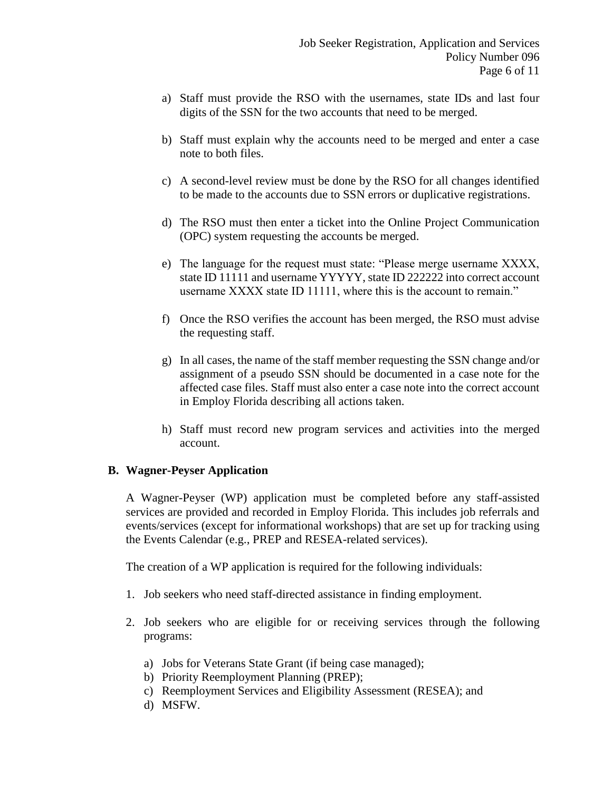- a) Staff must provide the RSO with the usernames, state IDs and last four digits of the SSN for the two accounts that need to be merged.
- b) Staff must explain why the accounts need to be merged and enter a case note to both files.
- c) A second-level review must be done by the RSO for all changes identified to be made to the accounts due to SSN errors or duplicative registrations.
- d) The RSO must then enter a ticket into the Online Project Communication (OPC) system requesting the accounts be merged.
- e) The language for the request must state: "Please merge username XXXX, state ID 11111 and username YYYYY, state ID 222222 into correct account username XXXX state ID 11111, where this is the account to remain."
- f) Once the RSO verifies the account has been merged, the RSO must advise the requesting staff.
- g) In all cases, the name of the staff member requesting the SSN change and/or assignment of a pseudo SSN should be documented in a case note for the affected case files. Staff must also enter a case note into the correct account in Employ Florida describing all actions taken.
- h) Staff must record new program services and activities into the merged account.

#### **B. Wagner-Peyser Application**

A Wagner-Peyser (WP) application must be completed before any staff-assisted services are provided and recorded in Employ Florida. This includes job referrals and events/services (except for informational workshops) that are set up for tracking using the Events Calendar (e.g., PREP and RESEA-related services).

The creation of a WP application is required for the following individuals:

- 1. Job seekers who need staff-directed assistance in finding employment.
- 2. Job seekers who are eligible for or receiving services through the following programs:
	- a) Jobs for Veterans State Grant (if being case managed);
	- b) Priority Reemployment Planning (PREP);
	- c) Reemployment Services and Eligibility Assessment (RESEA); and
	- d) MSFW.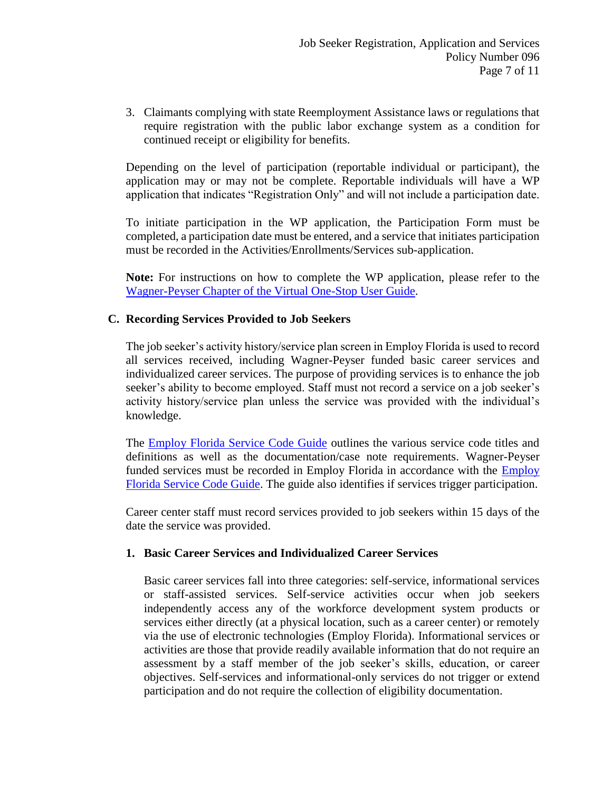3. Claimants complying with state Reemployment Assistance laws or regulations that require registration with the public labor exchange system as a condition for continued receipt or eligibility for benefits.

Depending on the level of participation (reportable individual or participant), the application may or may not be complete. Reportable individuals will have a WP application that indicates "Registration Only" and will not include a participation date.

To initiate participation in the WP application, the Participation Form must be completed, a participation date must be entered, and a service that initiates participation must be recorded in the Activities/Enrollments/Services sub-application.

**Note:** For instructions on how to complete the WP application, please refer to the [Wagner-Peyser Chapter of the Virtual One-Stop User Guide.](https://www.employflorida.com/admin/gsipub/htmlarea/uploads/Staff%20Guide_05_Programs_Wagner-Peyser.pdf)

#### **C. Recording Services Provided to Job Seekers**

The job seeker's activity history/service plan screen in Employ Florida is used to record all services received, including Wagner-Peyser funded basic career services and individualized career services. The purpose of providing services is to enhance the job seeker's ability to become employed. Staff must not record a service on a job seeker's activity history/service plan unless the service was provided with the individual's knowledge.

The **Employ Florida Service Code Guide** outlines the various service code titles and definitions as well as the documentation/case note requirements. Wagner-Peyser funded services must be recorded in Employ Florida in accordance with the [Employ](http://www.floridajobs.org/docs/default-source/lwdb-resources/programs-and-resources/wioa/2020-wioa/service-code-guide-update_june2020.pdf?sfvrsn=aa1a46b0_2)  [Florida Service Code Guide.](http://www.floridajobs.org/docs/default-source/lwdb-resources/programs-and-resources/wioa/2020-wioa/service-code-guide-update_june2020.pdf?sfvrsn=aa1a46b0_2) The guide also identifies if services trigger participation.

Career center staff must record services provided to job seekers within 15 days of the date the service was provided.

#### **1. Basic Career Services and Individualized Career Services**

Basic career services fall into three categories: self-service, informational services or staff-assisted services. Self-service activities occur when job seekers independently access any of the workforce development system products or services either directly (at a physical location, such as a career center) or remotely via the use of electronic technologies (Employ Florida). Informational services or activities are those that provide readily available information that do not require an assessment by a staff member of the job seeker's skills, education, or career objectives. Self-services and informational-only services do not trigger or extend participation and do not require the collection of eligibility documentation.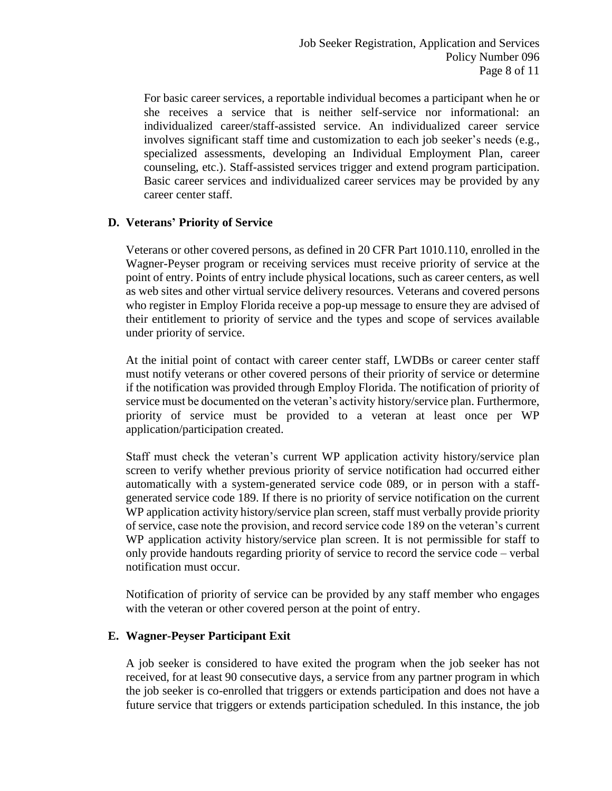For basic career services, a reportable individual becomes a participant when he or she receives a service that is neither self-service nor informational: an individualized career/staff-assisted service. An individualized career service involves significant staff time and customization to each job seeker's needs (e.g., specialized assessments, developing an Individual Employment Plan, career counseling, etc.). Staff-assisted services trigger and extend program participation. Basic career services and individualized career services may be provided by any career center staff.

### **D. Veterans' Priority of Service**

Veterans or other covered persons, as defined in 20 CFR Part 1010.110, enrolled in the Wagner-Peyser program or receiving services must receive priority of service at the point of entry. Points of entry include physical locations, such as career centers, as well as web sites and other virtual service delivery resources. Veterans and covered persons who register in Employ Florida receive a pop-up message to ensure they are advised of their entitlement to priority of service and the types and scope of services available under priority of service.

At the initial point of contact with career center staff, LWDBs or career center staff must notify veterans or other covered persons of their priority of service or determine if the notification was provided through Employ Florida. The notification of priority of service must be documented on the veteran's activity history/service plan. Furthermore, priority of service must be provided to a veteran at least once per WP application/participation created.

Staff must check the veteran's current WP application activity history/service plan screen to verify whether previous priority of service notification had occurred either automatically with a system-generated service code 089, or in person with a staffgenerated service code 189. If there is no priority of service notification on the current WP application activity history/service plan screen, staff must verbally provide priority of service, case note the provision, and record service code 189 on the veteran's current WP application activity history/service plan screen. It is not permissible for staff to only provide handouts regarding priority of service to record the service code – verbal notification must occur.

Notification of priority of service can be provided by any staff member who engages with the veteran or other covered person at the point of entry.

#### **E. Wagner-Peyser Participant Exit**

A job seeker is considered to have exited the program when the job seeker has not received, for at least 90 consecutive days, a service from any partner program in which the job seeker is co-enrolled that triggers or extends participation and does not have a future service that triggers or extends participation scheduled. In this instance, the job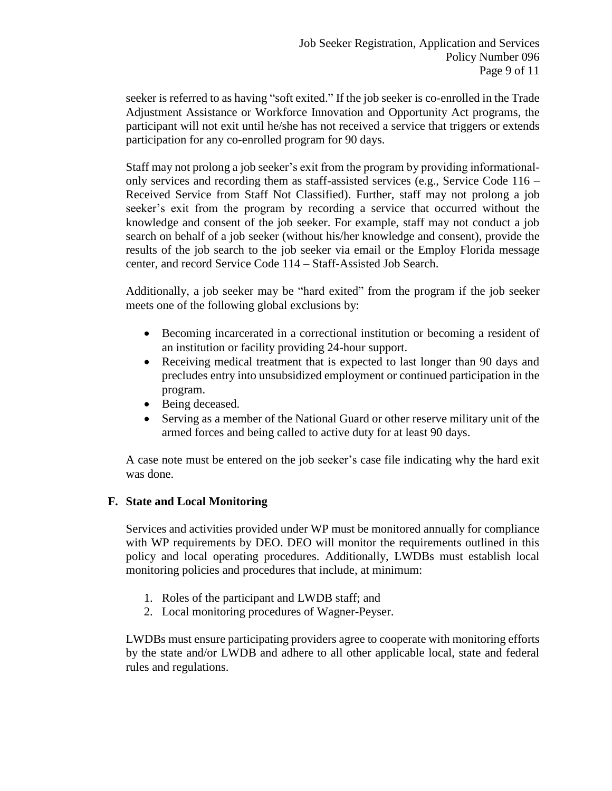seeker is referred to as having "soft exited." If the job seeker is co-enrolled in the Trade Adjustment Assistance or Workforce Innovation and Opportunity Act programs, the participant will not exit until he/she has not received a service that triggers or extends participation for any co-enrolled program for 90 days.

Staff may not prolong a job seeker's exit from the program by providing informationalonly services and recording them as staff-assisted services (e.g., Service Code 116 – Received Service from Staff Not Classified). Further, staff may not prolong a job seeker's exit from the program by recording a service that occurred without the knowledge and consent of the job seeker. For example, staff may not conduct a job search on behalf of a job seeker (without his/her knowledge and consent), provide the results of the job search to the job seeker via email or the Employ Florida message center, and record Service Code 114 – Staff-Assisted Job Search.

Additionally, a job seeker may be "hard exited" from the program if the job seeker meets one of the following global exclusions by:

- Becoming incarcerated in a correctional institution or becoming a resident of an institution or facility providing 24-hour support.
- Receiving medical treatment that is expected to last longer than 90 days and precludes entry into unsubsidized employment or continued participation in the program.
- Being deceased.
- Serving as a member of the National Guard or other reserve military unit of the armed forces and being called to active duty for at least 90 days.

A case note must be entered on the job seeker's case file indicating why the hard exit was done.

## **F. State and Local Monitoring**

Services and activities provided under WP must be monitored annually for compliance with WP requirements by DEO. DEO will monitor the requirements outlined in this policy and local operating procedures. Additionally, LWDBs must establish local monitoring policies and procedures that include, at minimum:

- 1. Roles of the participant and LWDB staff; and
- 2. Local monitoring procedures of Wagner-Peyser.

LWDBs must ensure participating providers agree to cooperate with monitoring efforts by the state and/or LWDB and adhere to all other applicable local, state and federal rules and regulations.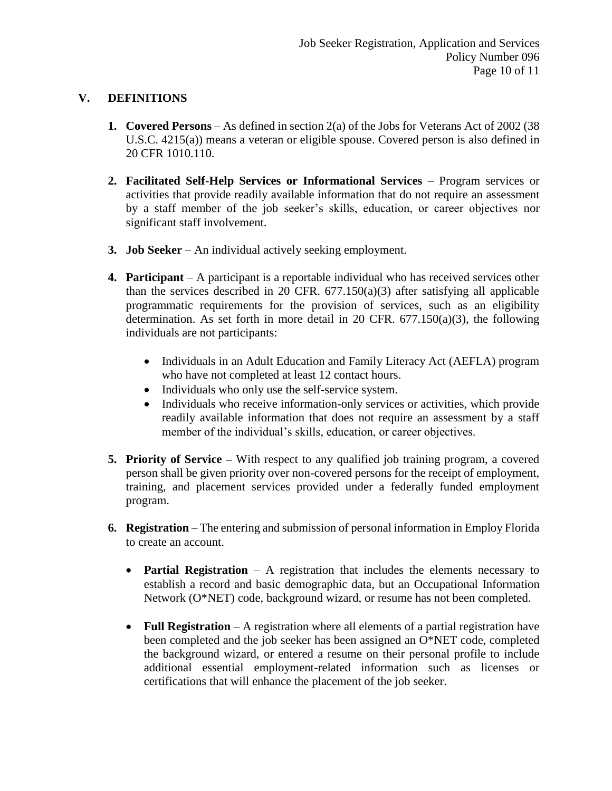## **V. DEFINITIONS**

- **1. Covered Persons** As defined in section 2(a) of the Jobs for Veterans Act of 2002 (38 U.S.C. 4215(a)) means a veteran or eligible spouse. Covered person is also defined in 20 CFR 1010.110.
- **2. Facilitated Self-Help Services or Informational Services** Program services or activities that provide readily available information that do not require an assessment by a staff member of the job seeker's skills, education, or career objectives nor significant staff involvement.
- **3. Job Seeker** An individual actively seeking employment.
- **4. Participant** A participant is a reportable individual who has received services other than the services described in 20 CFR.  $677.150(a)(3)$  after satisfying all applicable programmatic requirements for the provision of services, such as an eligibility determination. As set forth in more detail in 20 CFR.  $677.150(a)(3)$ , the following individuals are not participants:
	- Individuals in an Adult Education and Family Literacy Act (AEFLA) program who have not completed at least 12 contact hours.
	- Individuals who only use the self-service system.
	- Individuals who receive information-only services or activities, which provide readily available information that does not require an assessment by a staff member of the individual's skills, education, or career objectives.
- **5. Priority of Service –** With respect to any qualified job training program, a covered person shall be given priority over non-covered persons for the receipt of employment, training, and placement services provided under a federally funded employment program.
- **6. Registration** The entering and submission of personal information in Employ Florida to create an account.
	- **Partial Registration** A registration that includes the elements necessary to establish a record and basic demographic data, but an Occupational Information Network (O\*NET) code, background wizard, or resume has not been completed.
	- **Full Registration** A registration where all elements of a partial registration have been completed and the job seeker has been assigned an O\*NET code, completed the background wizard, or entered a resume on their personal profile to include additional essential employment-related information such as licenses or certifications that will enhance the placement of the job seeker.